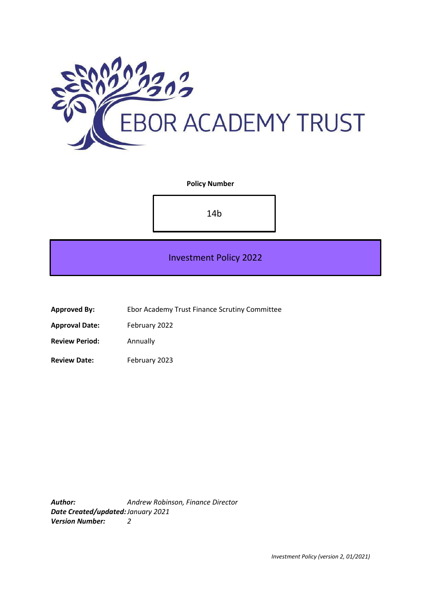

# **Policy Number**

14b

# Investment Policy 2022

**Approved By:** Ebor Academy Trust Finance Scrutiny Committee

**Approval Date:** February 2022

**Review Period:** Annually

**Review Date:** February 2023

*Author: Andrew Robinson, Finance Director Date Created/updated:January 2021 Version Number: 2*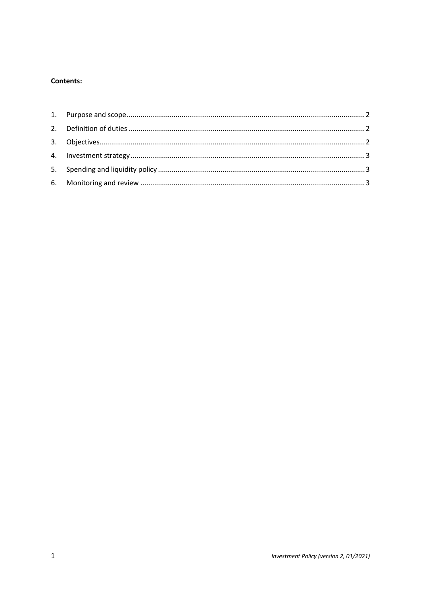## **Contents:**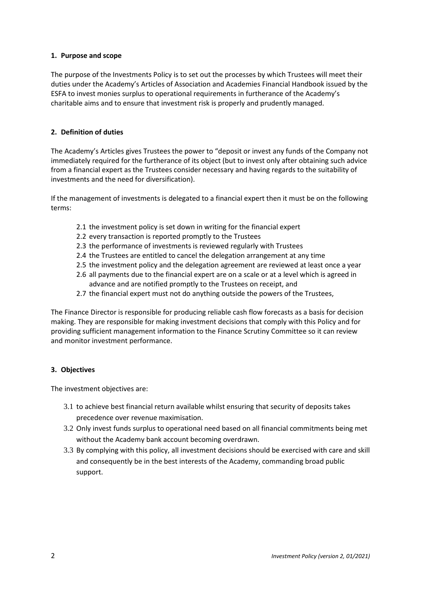## <span id="page-2-0"></span>**1. Purpose and scope**

The purpose of the Investments Policy is to set out the processes by which Trustees will meet their duties under the Academy's Articles of Association and Academies Financial Handbook issued by the ESFA to invest monies surplus to operational requirements in furtherance of the Academy's charitable aims and to ensure that investment risk is properly and prudently managed.

## <span id="page-2-1"></span>**2. Definition of duties**

The Academy's Articles gives Trustees the power to "deposit or invest any funds of the Company not immediately required for the furtherance of its object (but to invest only after obtaining such advice from a financial expert as the Trustees consider necessary and having regards to the suitability of investments and the need for diversification).

If the management of investments is delegated to a financial expert then it must be on the following terms:

- 2.1 the investment policy is set down in writing for the financial expert
- 2.2 every transaction is reported promptly to the Trustees
- 2.3 the performance of investments is reviewed regularly with Trustees
- 2.4 the Trustees are entitled to cancel the delegation arrangement at any time
- 2.5 the investment policy and the delegation agreement are reviewed at least once a year
- 2.6 all payments due to the financial expert are on a scale or at a level which is agreed in advance and are notified promptly to the Trustees on receipt, and
- 2.7 the financial expert must not do anything outside the powers of the Trustees,

The Finance Director is responsible for producing reliable cash flow forecasts as a basis for decision making. They are responsible for making investment decisions that comply with this Policy and for providing sufficient management information to the Finance Scrutiny Committee so it can review and monitor investment performance.

#### <span id="page-2-2"></span>**3. Objectives**

The investment objectives are:

- 3.1 to achieve best financial return available whilst ensuring that security of deposits takes precedence over revenue maximisation.
- 3.2 Only invest funds surplus to operational need based on all financial commitments being met without the Academy bank account becoming overdrawn.
- 3.3 By complying with this policy, all investment decisions should be exercised with care and skill and consequently be in the best interests of the Academy, commanding broad public support.